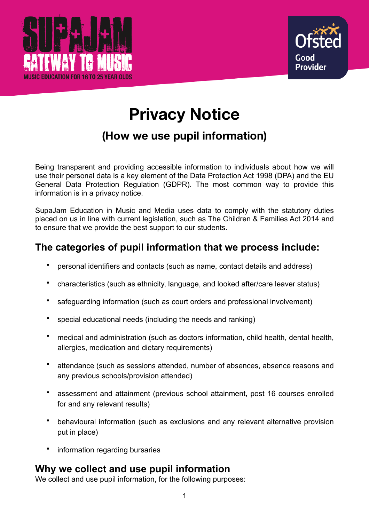



# **Privacy Notice**

## **(How we use pupil information)**

Being transparent and providing accessible information to individuals about how we will use their personal data is a key element of the Data Protection Act 1998 (DPA) and the EU General Data Protection Regulation (GDPR). The most common way to provide this information is in a privacy notice.

SupaJam Education in Music and Media uses data to comply with the statutory duties placed on us in line with current legislation, such as The Children & Families Act 2014 and to ensure that we provide the best support to our students.

## **The categories of pupil information that we process include:**

- personal identifiers and contacts (such as name, contact details and address)
- characteristics (such as ethnicity, language, and looked after/care leaver status)
- safeguarding information (such as court orders and professional involvement)
- special educational needs (including the needs and ranking)
- medical and administration (such as doctors information, child health, dental health, allergies, medication and dietary requirements)
- attendance (such as sessions attended, number of absences, absence reasons and any previous schools/provision attended)
- assessment and attainment (previous school attainment, post 16 courses enrolled for and any relevant results)
- behavioural information (such as exclusions and any relevant alternative provision put in place)
- information regarding bursaries

## **Why we collect and use pupil information**

We collect and use pupil information, for the following purposes: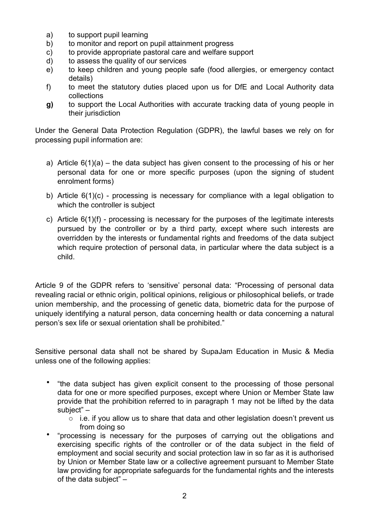- a) to support pupil learning
- b) to monitor and report on pupil attainment progress
- c) to provide appropriate pastoral care and welfare support
- d) to assess the quality of our services
- e) to keep children and young people safe (food allergies, or emergency contact details)
- f) to meet the statutory duties placed upon us for DfE and Local Authority data collections
- **g)** to support the Local Authorities with accurate tracking data of young people in their jurisdiction

Under the General Data Protection Regulation (GDPR), the lawful bases we rely on for processing pupil information are:

- a) Article  $6(1)(a)$  the data subject has given consent to the processing of his or her personal data for one or more specific purposes (upon the signing of student enrolment forms)
- b) Article 6(1)(c) processing is necessary for compliance with a legal obligation to which the controller is subject
- c) Article 6(1)(f) processing is necessary for the purposes of the legitimate interests pursued by the controller or by a third party, except where such interests are overridden by the interests or fundamental rights and freedoms of the data subject which require protection of personal data, in particular where the data subject is a child.

Article 9 of the GDPR refers to 'sensitive' personal data: "Processing of personal data revealing racial or ethnic origin, political opinions, religious or philosophical beliefs, or trade union membership, and the processing of genetic data, biometric data for the purpose of uniquely identifying a natural person, data concerning health or data concerning a natural person's sex life or sexual orientation shall be prohibited."

Sensitive personal data shall not be shared by SupaJam Education in Music & Media unless one of the following applies:

- "the data subject has given explicit consent to the processing of those personal data for one or more specified purposes, except where Union or Member State law provide that the prohibition referred to in paragraph 1 may not be lifted by the data subject" –
	- o i.e. if you allow us to share that data and other legislation doesn't prevent us from doing so
- "processing is necessary for the purposes of carrying out the obligations and exercising specific rights of the controller or of the data subject in the field of employment and social security and social protection law in so far as it is authorised by Union or Member State law or a collective agreement pursuant to Member State law providing for appropriate safeguards for the fundamental rights and the interests of the data subject" –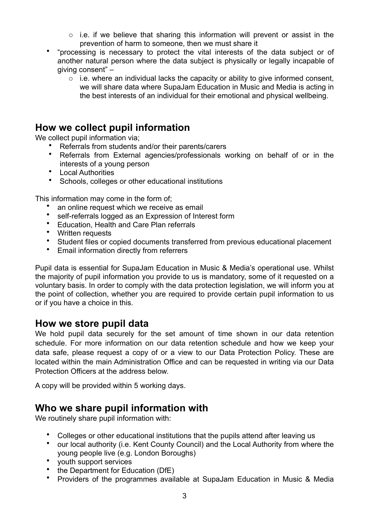- $\circ$  i.e. if we believe that sharing this information will prevent or assist in the prevention of harm to someone, then we must share it
- "processing is necessary to protect the vital interests of the data subject or of another natural person where the data subject is physically or legally incapable of giving consent" –
	- o i.e. where an individual lacks the capacity or ability to give informed consent, we will share data where SupaJam Education in Music and Media is acting in the best interests of an individual for their emotional and physical wellbeing.

## **How we collect pupil information**

We collect pupil information via;

- Referrals from students and/or their parents/carers
- Referrals from External agencies/professionals working on behalf of or in the interests of a young person
- Local Authorities
- Schools, colleges or other educational institutions

This information may come in the form of;

- an online request which we receive as email
- self-referrals logged as an Expression of Interest form
- Education, Health and Care Plan referrals
- Written requests
- Student files or copied documents transferred from previous educational placement<br>• Email information directly from referrers
- Email information directly from referrers

Pupil data is essential for SupaJam Education in Music & Media's operational use. Whilst the majority of pupil information you provide to us is mandatory, some of it requested on a voluntary basis. In order to comply with the data protection legislation, we will inform you at the point of collection, whether you are required to provide certain pupil information to us or if you have a choice in this.

## **How we store pupil data**

We hold pupil data securely for the set amount of time shown in our data retention schedule. For more information on our data retention schedule and how we keep your data safe, please request a copy of or a view to our Data Protection Policy. These are located within the main Administration Office and can be requested in writing via our Data Protection Officers at the address below.

A copy will be provided within 5 working days.

## **Who we share pupil information with**

We routinely share pupil information with:

- Colleges or other educational institutions that the pupils attend after leaving us
- our local authority (i.e. Kent County Council) and the Local Authority from where the young people live (e.g. London Boroughs)
- youth support services
- the Department for Education (DfE)
- Providers of the programmes available at SupaJam Education in Music & Media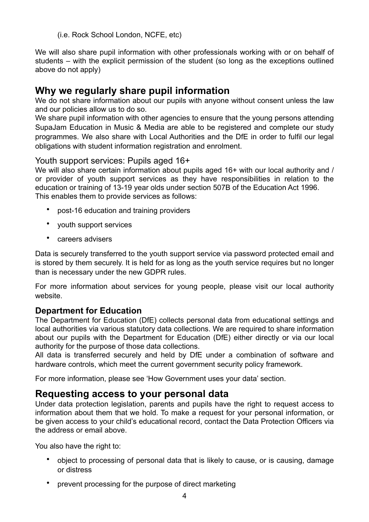(i.e. Rock School London, NCFE, etc)

We will also share pupil information with other professionals working with or on behalf of students – with the explicit permission of the student (so long as the exceptions outlined above do not apply)

## **Why we regularly share pupil information**

We do not share information about our pupils with anyone without consent unless the law and our policies allow us to do so.

We share pupil information with other agencies to ensure that the young persons attending SupaJam Education in Music & Media are able to be registered and complete our study programmes. We also share with Local Authorities and the DfE in order to fulfil our legal obligations with student information registration and enrolment.

#### Youth support services: Pupils aged 16+

We will also share certain information about pupils aged 16+ with our local authority and / or provider of youth support services as they have responsibilities in relation to the education or training of 13-19 year olds under section 507B of the Education Act 1996. This enables them to provide services as follows:

- post-16 education and training providers
- youth support services
- careers advisers

Data is securely transferred to the youth support service via password protected email and is stored by them securely. It is held for as long as the youth service requires but no longer than is necessary under the new GDPR rules.

For more information about services for young people, please visit our local authority website.

#### **Department for Education**

The Department for Education (DfE) collects personal data from educational settings and local authorities via various statutory data collections. We are required to share information about our pupils with the Department for Education (DfE) either directly or via our local authority for the purpose of those data collections.

All data is transferred securely and held by DfE under a combination of software and hardware controls, which meet the current government security policy framework.

For more information, please see 'How Government uses your data' section.

## **Requesting access to your personal data**

Under data protection legislation, parents and pupils have the right to request access to information about them that we hold. To make a request for your personal information, or be given access to your child's educational record, contact the Data Protection Officers via the address or email above.

You also have the right to:

- object to processing of personal data that is likely to cause, or is causing, damage or distress
- prevent processing for the purpose of direct marketing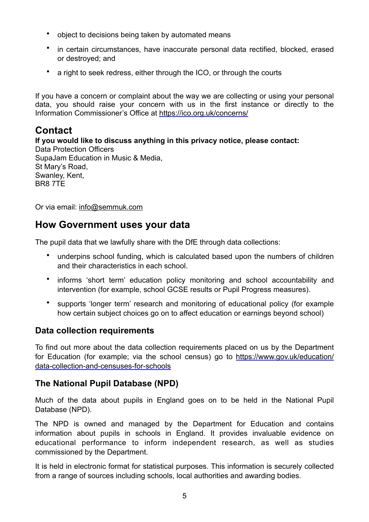- object to decisions being taken by automated means
- in certain circumstances, have inaccurate personal data rectified, blocked, erased or destroyed; and
- a right to seek redress, either through the ICO, or through the courts

If you have a concern or complaint about the way we are collecting or using your personal data, you should raise your concern with us in the first instance or directly to the Information Commissioner's Office at <https://ico.org.uk/concerns/>

## **Contact**

**If you would like to discuss anything in this privacy notice, please contact:**  Data Protection Officers SupaJam Education in Music & Media, St Mary's Road, Swanley, Kent, BR8 7TE

Or via email: [info@semmuk.com](mailto:info@semmuk.com)

## **How Government uses your data**

The pupil data that we lawfully share with the DfE through data collections:

- underpins school funding, which is calculated based upon the numbers of children and their characteristics in each school.
- informs 'short term' education policy monitoring and school accountability and intervention (for example, school GCSE results or Pupil Progress measures).
- supports 'longer term' research and monitoring of educational policy (for example how certain subject choices go on to affect education or earnings beyond school)

#### **Data collection requirements**

To find out more about the data collection requirements placed on us by the Department for Education (for example; via the school census) go to [https://www.gov.uk/education/](https://www.gov.uk/education/data-collection-and-censuses-for-schools) [data-collection-and-censuses-for-schools](https://www.gov.uk/education/data-collection-and-censuses-for-schools)

## **The National Pupil Database (NPD)**

Much of the data about pupils in England goes on to be held in the National Pupil Database (NPD).

The NPD is owned and managed by the Department for Education and contains information about pupils in schools in England. It provides invaluable evidence on educational performance to inform independent research, as well as studies commissioned by the Department.

It is held in electronic format for statistical purposes. This information is securely collected from a range of sources including schools, local authorities and awarding bodies.